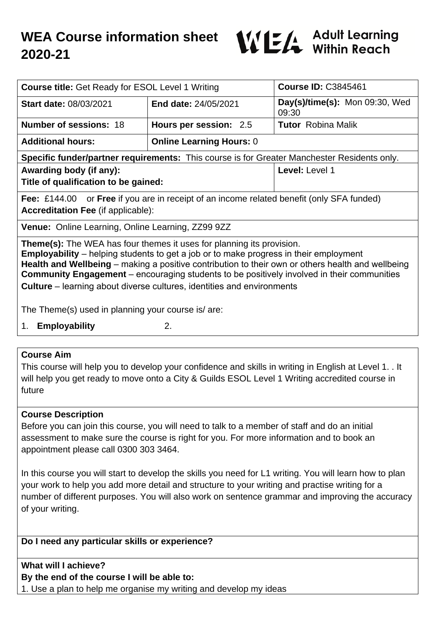

| <b>Course title: Get Ready for ESOL Level 1 Writing</b>                                                                                              |                                 | <b>Course ID: C3845461</b>              |
|------------------------------------------------------------------------------------------------------------------------------------------------------|---------------------------------|-----------------------------------------|
| <b>Start date: 08/03/2021</b>                                                                                                                        | <b>End date: 24/05/2021</b>     | Day(s)/time(s): Mon 09:30, Wed<br>09:30 |
| <b>Number of sessions: 18</b>                                                                                                                        | Hours per session: 2.5          | <b>Tutor</b> Robina Malik               |
| <b>Additional hours:</b>                                                                                                                             | <b>Online Learning Hours: 0</b> |                                         |
| Specific funder/partner requirements: This course is for Greater Manchester Residents only.                                                          |                                 |                                         |
| Awarding body (if any):<br>Title of qualification to be gained:                                                                                      |                                 | Level: Level 1                          |
| <b>Fee:</b> £144.00 or <b>Free</b> if you are in receipt of an income related benefit (only SFA funded)<br><b>Accreditation Fee (if applicable):</b> |                                 |                                         |
| Venue: Online Learning, Online Learning, ZZ99 9ZZ                                                                                                    |                                 |                                         |
|                                                                                                                                                      |                                 |                                         |

**Theme(s):** The WEA has four themes it uses for planning its provision. **Employability** – helping students to get a job or to make progress in their employment **Health and Wellbeing** – making a positive contribution to their own or others health and wellbeing **Community Engagement** – encouraging students to be positively involved in their communities **Culture** – learning about diverse cultures, identities and environments

The Theme(s) used in planning your course is/ are:

1. **Employability** 2.

#### **Course Aim**

This course will help you to develop your confidence and skills in writing in English at Level 1. . It will help you get ready to move onto a City & Guilds ESOL Level 1 Writing accredited course in future

#### **Course Description**

Before you can join this course, you will need to talk to a member of staff and do an initial assessment to make sure the course is right for you. For more information and to book an appointment please call 0300 303 3464.

In this course you will start to develop the skills you need for L1 writing. You will learn how to plan your work to help you add more detail and structure to your writing and practise writing for a number of different purposes. You will also work on sentence grammar and improving the accuracy of your writing.

### **Do I need any particular skills or experience?**

#### **What will I achieve?**

# **By the end of the course I will be able to:**

1. Use a plan to help me organise my writing and develop my ideas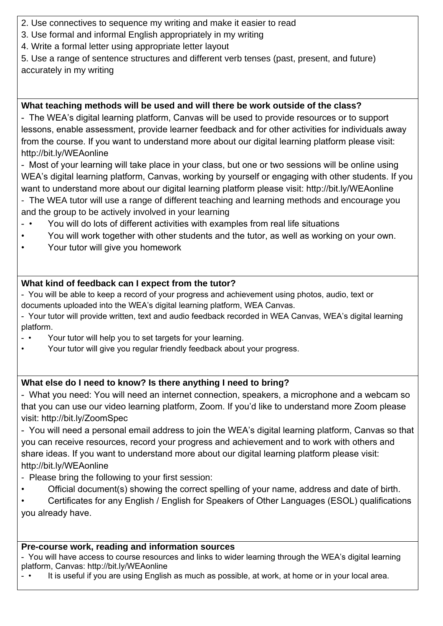- 2. Use connectives to sequence my writing and make it easier to read
- 3. Use formal and informal English appropriately in my writing
- 4. Write a formal letter using appropriate letter layout

5. Use a range of sentence structures and different verb tenses (past, present, and future) accurately in my writing

## **What teaching methods will be used and will there be work outside of the class?**

- The WEA's digital learning platform, Canvas will be used to provide resources or to support lessons, enable assessment, provide learner feedback and for other activities for individuals away from the course. If you want to understand more about our digital learning platform please visit: http://bit.ly/WEAonline

- Most of your learning will take place in your class, but one or two sessions will be online using WEA's digital learning platform, Canvas, working by yourself or engaging with other students. If you want to understand more about our digital learning platform please visit: http://bit.ly/WEAonline

- The WEA tutor will use a range of different teaching and learning methods and encourage you and the group to be actively involved in your learning

- You will do lots of different activities with examples from real life situations
- You will work together with other students and the tutor, as well as working on your own.
- Your tutor will give you homework

# **What kind of feedback can I expect from the tutor?**

- You will be able to keep a record of your progress and achievement using photos, audio, text or documents uploaded into the WEA's digital learning platform, WEA Canvas.
- Your tutor will provide written, text and audio feedback recorded in WEA Canvas, WEA's digital learning platform.
- • Your tutor will help you to set targets for your learning.
- Your tutor will give you regular friendly feedback about your progress.

# **What else do I need to know? Is there anything I need to bring?**

- What you need: You will need an internet connection, speakers, a microphone and a webcam so that you can use our video learning platform, Zoom. If you'd like to understand more Zoom please visit: http://bit.ly/ZoomSpec

- You will need a personal email address to join the WEA's digital learning platform, Canvas so that you can receive resources, record your progress and achievement and to work with others and share ideas. If you want to understand more about our digital learning platform please visit: http://bit.ly/WEAonline

- Please bring the following to your first session:
- Official document(s) showing the correct spelling of your name, address and date of birth.

• Certificates for any English / English for Speakers of Other Languages (ESOL) qualifications you already have.

### **Pre-course work, reading and information sources**

- You will have access to course resources and links to wider learning through the WEA's digital learning platform, Canvas: http://bit.ly/WEAonline

It is useful if you are using English as much as possible, at work, at home or in your local area.